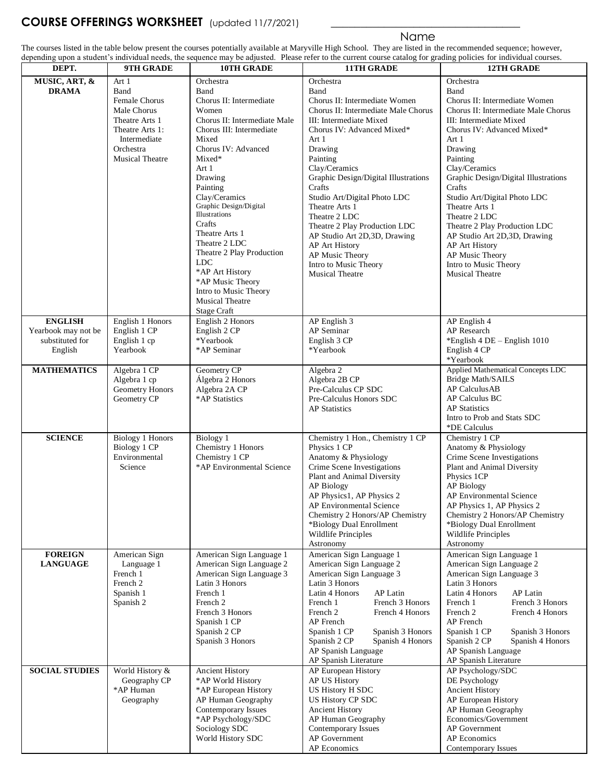## **COURSE OFFERINGS WORKSHEET** (updated 11/7/2021)

## **Name and Security Contracts of the Security Contracts of the Security Contracts**

The courses listed in the table below present the courses potentially available at Maryville High School. They are listed in the recommended sequence; however, depending upon a student's individual needs, the sequence may be adjusted. Please refer to the current course catalog for grading policies for individual courses.

| DEPT.                 | 9TH GRADE                     | 10TH GRADE                   | acpenaing apon a statem s marviatal needs, the sequence may be adjusted. Thase feler to the carrent course catalog for grading policies for marviatal courses.<br>11TH GRADE | 12TH GRADE                           |
|-----------------------|-------------------------------|------------------------------|------------------------------------------------------------------------------------------------------------------------------------------------------------------------------|--------------------------------------|
|                       |                               |                              |                                                                                                                                                                              |                                      |
| MUSIC, ART, &         | Art 1                         | Orchestra                    | Orchestra                                                                                                                                                                    | Orchestra                            |
| <b>DRAMA</b>          | Band                          | Band                         | Band                                                                                                                                                                         | Band                                 |
|                       | Female Chorus                 | Chorus II: Intermediate      | Chorus II: Intermediate Women                                                                                                                                                | Chorus II: Intermediate Women        |
|                       | Male Chorus                   | Women                        | Chorus II: Intermediate Male Chorus                                                                                                                                          | Chorus II: Intermediate Male Chorus  |
|                       | Theatre Arts 1                | Chorus II: Intermediate Male | III: Intermediate Mixed                                                                                                                                                      | III: Intermediate Mixed              |
|                       | Theatre Arts 1:               | Chorus III: Intermediate     | Chorus IV: Advanced Mixed*                                                                                                                                                   | Chorus IV: Advanced Mixed*           |
|                       | Intermediate                  | Mixed                        | Art 1                                                                                                                                                                        | Art 1                                |
|                       | Orchestra                     | Chorus IV: Advanced          | Drawing                                                                                                                                                                      | Drawing                              |
|                       | <b>Musical Theatre</b>        | Mixed*                       | Painting                                                                                                                                                                     | Painting                             |
|                       |                               | Art 1                        | Clay/Ceramics                                                                                                                                                                | Clay/Ceramics                        |
|                       |                               | Drawing                      | Graphic Design/Digital Illustrations                                                                                                                                         | Graphic Design/Digital Illustrations |
|                       |                               | Painting                     | Crafts                                                                                                                                                                       | Crafts                               |
|                       |                               | Clay/Ceramics                |                                                                                                                                                                              | Studio Art/Digital Photo LDC         |
|                       |                               | Graphic Design/Digital       | Studio Art/Digital Photo LDC                                                                                                                                                 | Theatre Arts 1                       |
|                       |                               | Illustrations                | Theatre Arts 1                                                                                                                                                               |                                      |
|                       |                               | Crafts                       | Theatre 2 LDC                                                                                                                                                                | Theatre 2 LDC                        |
|                       |                               | Theatre Arts 1               | Theatre 2 Play Production LDC                                                                                                                                                | Theatre 2 Play Production LDC        |
|                       |                               | Theatre 2 LDC                | AP Studio Art 2D,3D, Drawing                                                                                                                                                 | AP Studio Art 2D,3D, Drawing         |
|                       |                               |                              | AP Art History                                                                                                                                                               | AP Art History                       |
|                       |                               | Theatre 2 Play Production    | AP Music Theory                                                                                                                                                              | AP Music Theory                      |
|                       |                               | <b>LDC</b>                   | Intro to Music Theory                                                                                                                                                        | Intro to Music Theory                |
|                       |                               | *AP Art History              | <b>Musical Theatre</b>                                                                                                                                                       | <b>Musical Theatre</b>               |
|                       |                               | *AP Music Theory             |                                                                                                                                                                              |                                      |
|                       |                               | Intro to Music Theory        |                                                                                                                                                                              |                                      |
|                       |                               | <b>Musical Theatre</b>       |                                                                                                                                                                              |                                      |
|                       |                               | <b>Stage Craft</b>           |                                                                                                                                                                              |                                      |
| <b>ENGLISH</b>        | English 1 Honors              | English 2 Honors             | AP English 3                                                                                                                                                                 | AP English 4                         |
| Yearbook may not be   | English 1 CP                  | English 2 CP                 | AP Seminar                                                                                                                                                                   | AP Research                          |
| substituted for       | English 1 cp                  | *Yearbook                    | English 3 CP                                                                                                                                                                 | *English 4 DE - English 1010         |
| English               | Yearbook                      | *AP Seminar                  | *Yearbook                                                                                                                                                                    | English 4 CP                         |
|                       |                               |                              |                                                                                                                                                                              | *Yearbook                            |
| <b>MATHEMATICS</b>    | Algebra 1 CP                  | Geometry CP                  | Algebra 2                                                                                                                                                                    | Applied Mathematical Concepts LDC    |
|                       | Algebra 1 cp                  | Álgebra 2 Honors             | Algebra 2B CP                                                                                                                                                                | Bridge Math/SAILS                    |
|                       | Geometry Honors               | Algebra 2A CP                | Pre-Calculus CP SDC                                                                                                                                                          | AP Calculus AB                       |
|                       | Geometry CP                   | *AP Statistics               | Pre-Calculus Honors SDC                                                                                                                                                      | AP Calculus BC                       |
|                       |                               |                              | <b>AP</b> Statistics                                                                                                                                                         | <b>AP</b> Statistics                 |
|                       |                               |                              |                                                                                                                                                                              | Intro to Prob and Stats SDC          |
|                       |                               |                              |                                                                                                                                                                              | *DE Calculus                         |
| <b>SCIENCE</b>        | <b>Biology 1 Honors</b>       | Biology 1                    | Chemistry 1 Hon., Chemistry 1 CP                                                                                                                                             | Chemistry 1 CP                       |
|                       |                               | Chemistry 1 Honors           | Physics 1 CP                                                                                                                                                                 | Anatomy & Physiology                 |
|                       | Biology 1 CP<br>Environmental | Chemistry 1 CP               | Anatomy & Physiology                                                                                                                                                         |                                      |
|                       |                               | *AP Environmental Science    | Crime Scene Investigations                                                                                                                                                   | Crime Scene Investigations           |
|                       | Science                       |                              |                                                                                                                                                                              | Plant and Animal Diversity           |
|                       |                               |                              | Plant and Animal Diversity                                                                                                                                                   | Physics 1CP                          |
|                       |                               |                              | AP Biology                                                                                                                                                                   | AP Biology                           |
|                       |                               |                              | AP Physics1, AP Physics 2                                                                                                                                                    | AP Environmental Science             |
|                       |                               |                              | AP Environmental Science                                                                                                                                                     | AP Physics 1, AP Physics 2           |
|                       |                               |                              | Chemistry 2 Honors/AP Chemistry                                                                                                                                              | Chemistry 2 Honors/AP Chemistry      |
|                       |                               |                              | *Biology Dual Enrollment                                                                                                                                                     | *Biology Dual Enrollment             |
|                       |                               |                              | <b>Wildlife Principles</b>                                                                                                                                                   | Wildlife Principles                  |
|                       |                               |                              | Astronomy                                                                                                                                                                    | Astronomy                            |
| <b>FOREIGN</b>        | American Sign                 | American Sign Language 1     | American Sign Language 1                                                                                                                                                     | American Sign Language 1             |
| <b>LANGUAGE</b>       | Language 1                    | American Sign Language 2     | American Sign Language 2                                                                                                                                                     | American Sign Language 2             |
|                       | French 1                      | American Sign Language 3     | American Sign Language 3                                                                                                                                                     | American Sign Language 3             |
|                       | French 2                      | Latin 3 Honors               | Latin 3 Honors                                                                                                                                                               | Latin 3 Honors                       |
|                       | Spanish 1                     | French 1                     | Latin 4 Honors<br>AP Latin                                                                                                                                                   | Latin 4 Honors<br>AP Latin           |
|                       | Spanish 2                     | French 2                     | French 3 Honors<br>French 1                                                                                                                                                  | French 3 Honors<br>French 1          |
|                       |                               | French 3 Honors              | French 2<br>French 4 Honors                                                                                                                                                  | French 2<br>French 4 Honors          |
|                       |                               | Spanish 1 CP                 | AP French                                                                                                                                                                    | AP French                            |
|                       |                               | Spanish 2 CP                 | Spanish 1 CP<br>Spanish 3 Honors                                                                                                                                             | Spanish 1 CP<br>Spanish 3 Honors     |
|                       |                               | Spanish 3 Honors             | Spanish 2 CP<br>Spanish 4 Honors                                                                                                                                             | Spanish 2 CP<br>Spanish 4 Honors     |
|                       |                               |                              | AP Spanish Language                                                                                                                                                          | AP Spanish Language                  |
|                       |                               |                              | AP Spanish Literature                                                                                                                                                        | AP Spanish Literature                |
| <b>SOCIAL STUDIES</b> | World History &               | <b>Ancient History</b>       | AP European History                                                                                                                                                          | AP Psychology/SDC                    |
|                       | Geography CP                  | *AP World History            | AP US History                                                                                                                                                                | DE Psychology                        |
|                       | *AP Human                     | *AP European History         | US History H SDC                                                                                                                                                             | Ancient History                      |
|                       | Geography                     | AP Human Geography           | US History CP SDC                                                                                                                                                            | AP European History                  |
|                       |                               |                              |                                                                                                                                                                              |                                      |
|                       |                               | Contemporary Issues          | <b>Ancient History</b>                                                                                                                                                       | AP Human Geography                   |
|                       |                               | *AP Psychology/SDC           | AP Human Geography                                                                                                                                                           | Economics/Government                 |
|                       |                               | Sociology SDC                | Contemporary Issues                                                                                                                                                          | AP Government                        |
|                       |                               | World History SDC            | AP Government                                                                                                                                                                | AP Economics                         |
|                       |                               |                              | AP Economics                                                                                                                                                                 | Contemporary Issues                  |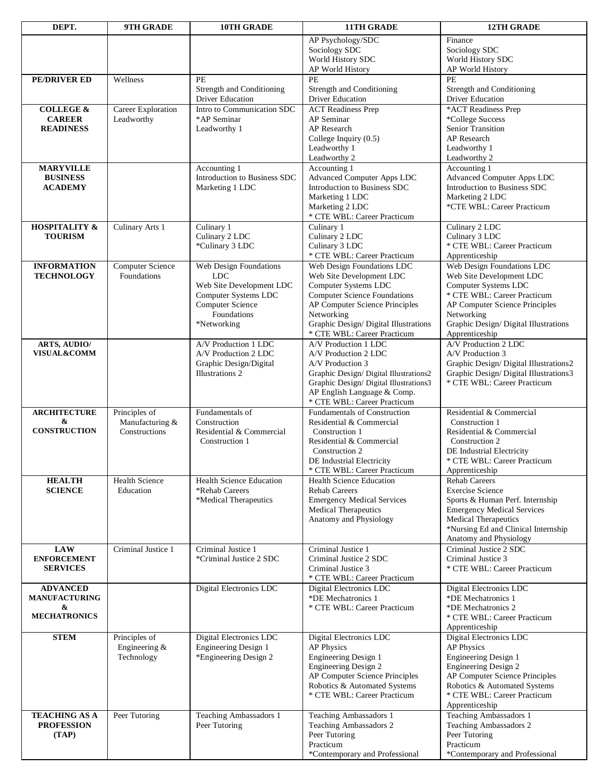| DEPT.                                 | 9TH GRADE                   | <b>10TH GRADE</b>                               | <b>11TH GRADE</b>                                                     | <b>12TH GRADE</b>                               |
|---------------------------------------|-----------------------------|-------------------------------------------------|-----------------------------------------------------------------------|-------------------------------------------------|
|                                       |                             |                                                 | AP Psychology/SDC                                                     | Finance                                         |
|                                       |                             |                                                 | Sociology SDC                                                         | Sociology SDC                                   |
|                                       |                             |                                                 | World History SDC                                                     | World History SDC                               |
|                                       |                             |                                                 | AP World History                                                      | AP World History                                |
| PE/DRIVER ED                          | Wellness                    | PE                                              | PE                                                                    | PE                                              |
|                                       |                             | Strength and Conditioning                       | Strength and Conditioning<br>Driver Education                         | Strength and Conditioning                       |
| <b>COLLEGE &amp;</b>                  | Career Exploration          | Driver Education<br>Intro to Communication SDC  | <b>ACT</b> Readiness Prep                                             | Driver Education<br>*ACT Readiness Prep         |
| <b>CAREER</b>                         | Leadworthy                  | *AP Seminar                                     | AP Seminar                                                            | *College Success                                |
| <b>READINESS</b>                      |                             | Leadworthy 1                                    | AP Research                                                           | Senior Transition                               |
|                                       |                             |                                                 | College Inquiry (0.5)                                                 | <b>AP</b> Research                              |
|                                       |                             |                                                 | Leadworthy 1                                                          | Leadworthy 1                                    |
|                                       |                             |                                                 | Leadworthy 2                                                          | Leadworthy 2                                    |
| <b>MARYVILLE</b>                      |                             | Accounting 1                                    | Accounting 1                                                          | Accounting 1                                    |
| <b>BUSINESS</b>                       |                             | Introduction to Business SDC                    | <b>Advanced Computer Apps LDC</b>                                     | <b>Advanced Computer Apps LDC</b>               |
| <b>ACADEMY</b>                        |                             | Marketing 1 LDC                                 | Introduction to Business SDC                                          | Introduction to Business SDC                    |
|                                       |                             |                                                 | Marketing 1 LDC                                                       | Marketing 2 LDC                                 |
|                                       |                             |                                                 | Marketing 2 LDC<br>* CTE WBL: Career Practicum                        | *CTE WBL: Career Practicum                      |
| <b>HOSPITALITY &amp;</b>              | Culinary Arts 1             | Culinary 1                                      | Culinary 1                                                            | Culinary 2 LDC                                  |
| <b>TOURISM</b>                        |                             | Culinary 2 LDC                                  | Culinary 2 LDC                                                        | Culinary 3 LDC                                  |
|                                       |                             | *Culinary 3 LDC                                 | Culinary 3 LDC                                                        | * CTE WBL: Career Practicum                     |
|                                       |                             |                                                 | * CTE WBL: Career Practicum                                           | Apprenticeship                                  |
| <b>INFORMATION</b>                    | Computer Science            | Web Design Foundations                          | Web Design Foundations LDC                                            | Web Design Foundations LDC                      |
| <b>TECHNOLOGY</b>                     | Foundations                 | <b>LDC</b>                                      | Web Site Development LDC                                              | Web Site Development LDC                        |
|                                       |                             | Web Site Development LDC                        | Computer Systems LDC                                                  | Computer Systems LDC                            |
|                                       |                             | Computer Systems LDC<br>Computer Science        | <b>Computer Science Foundations</b><br>AP Computer Science Principles | * CTE WBL: Career Practicum                     |
|                                       |                             | Foundations                                     | Networking                                                            | AP Computer Science Principles<br>Networking    |
|                                       |                             | *Networking                                     | Graphic Design/ Digital Illustrations                                 | Graphic Design/ Digital Illustrations           |
|                                       |                             |                                                 | * CTE WBL: Career Practicum                                           | Apprenticeship                                  |
| <b>ARTS, AUDIO/</b>                   |                             | A/V Production 1 LDC                            | A/V Production 1 LDC                                                  | A/V Production 2 LDC                            |
| <b>VISUAL&amp;COMM</b>                |                             | A/V Production 2 LDC                            | A/V Production 2 LDC                                                  | A/V Production 3                                |
|                                       |                             | Graphic Design/Digital                          | A/V Production 3                                                      | Graphic Design/Digital Illustrations2           |
|                                       |                             | Illustrations 2                                 | Graphic Design/ Digital Illustrations2                                | Graphic Design/Digital Illustrations3           |
|                                       |                             |                                                 | Graphic Design/ Digital Illustrations3                                | * CTE WBL: Career Practicum                     |
|                                       |                             |                                                 | AP English Language & Comp.<br>* CTE WBL: Career Practicum            |                                                 |
| <b>ARCHITECTURE</b>                   | Principles of               | Fundamentals of                                 | <b>Fundamentals of Construction</b>                                   | Residential & Commercial                        |
| &                                     | Manufacturing &             | Construction                                    | Residential & Commercial                                              | Construction 1                                  |
| <b>CONSTRUCTION</b>                   | Constructions               | Residential & Commercial                        | Construction 1                                                        | Residential & Commercial                        |
|                                       |                             | Construction 1                                  | Residential & Commercial                                              | Construction 2                                  |
|                                       |                             |                                                 | Construction 2                                                        | DE Industrial Electricity                       |
|                                       |                             |                                                 | DE Industrial Electricity                                             | * CTE WBL: Career Practicum                     |
|                                       |                             |                                                 | * CTE WBL: Career Practicum                                           | Apprenticeship                                  |
| <b>HEALTH</b><br><b>SCIENCE</b>       | Health Science<br>Education | Health Science Education<br>*Rehab Careers      | <b>Health Science Education</b><br><b>Rehab Careers</b>               | <b>Rehab Careers</b><br><b>Exercise Science</b> |
|                                       |                             | *Medical Therapeutics                           | <b>Emergency Medical Services</b>                                     | Sports & Human Perf. Internship                 |
|                                       |                             |                                                 | <b>Medical Therapeutics</b>                                           | <b>Emergency Medical Services</b>               |
|                                       |                             |                                                 | Anatomy and Physiology                                                | <b>Medical Therapeutics</b>                     |
|                                       |                             |                                                 |                                                                       | *Nursing Ed and Clinical Internship             |
|                                       |                             |                                                 |                                                                       | Anatomy and Physiology                          |
| <b>LAW</b>                            | Criminal Justice 1          | Criminal Justice 1                              | Criminal Justice 1                                                    | Criminal Justice 2 SDC                          |
| <b>ENFORCEMENT</b><br><b>SERVICES</b> |                             | *Criminal Justice 2 SDC                         | Criminal Justice 2 SDC                                                | Criminal Justice 3                              |
|                                       |                             |                                                 | Criminal Justice 3<br>* CTE WBL: Career Practicum                     | * CTE WBL: Career Practicum                     |
| <b>ADVANCED</b>                       |                             | Digital Electronics LDC                         | Digital Electronics LDC                                               | Digital Electronics LDC                         |
| <b>MANUFACTURING</b>                  |                             |                                                 | *DE Mechatronics 1                                                    | *DE Mechatronics 1                              |
| &                                     |                             |                                                 | * CTE WBL: Career Practicum                                           | *DE Mechatronics 2                              |
| <b>MECHATRONICS</b>                   |                             |                                                 |                                                                       | * CTE WBL: Career Practicum                     |
|                                       |                             |                                                 |                                                                       | Apprenticeship                                  |
| <b>STEM</b>                           | Principles of               | Digital Electronics LDC<br>Engineering Design 1 | Digital Electronics LDC<br>AP Physics                                 | Digital Electronics LDC<br>AP Physics           |
|                                       | Engineering &<br>Technology | *Engineering Design 2                           | Engineering Design 1                                                  | Engineering Design 1                            |
|                                       |                             |                                                 | Engineering Design 2                                                  | Engineering Design 2                            |
|                                       |                             |                                                 | AP Computer Science Principles                                        | AP Computer Science Principles                  |
|                                       |                             |                                                 | Robotics & Automated Systems                                          | Robotics & Automated Systems                    |
|                                       |                             |                                                 | * CTE WBL: Career Practicum                                           | * CTE WBL: Career Practicum                     |
|                                       |                             |                                                 |                                                                       | Apprenticeship                                  |
| <b>TEACHING AS A</b>                  | Peer Tutoring               | Teaching Ambassadors 1                          | Teaching Ambassadors 1                                                | Teaching Ambassadors 1                          |
| <b>PROFESSION</b>                     |                             | Peer Tutoring                                   | Teaching Ambassadors 2                                                | Teaching Ambassadors 2                          |
| (TAP)                                 |                             |                                                 | Peer Tutoring<br>Practicum                                            | Peer Tutoring<br>Practicum                      |
|                                       |                             |                                                 | *Contemporary and Professional                                        | *Contemporary and Professional                  |
|                                       |                             |                                                 |                                                                       |                                                 |